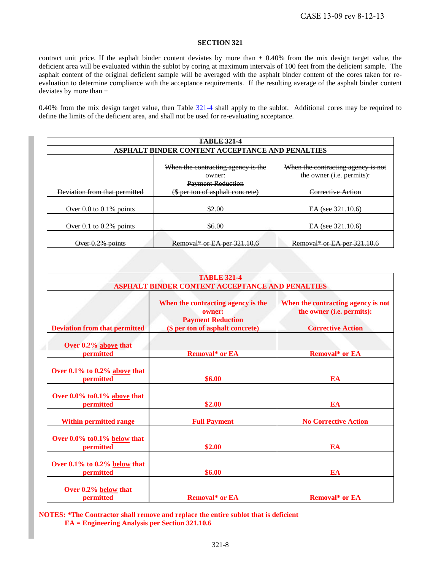contract unit price. If the asphalt binder content deviates by more than  $\pm$  0.40% from the mix design target value, the deficient area will be evaluated within the sublot by coring at maximum intervals of 100 feet from the deficient sample. The asphalt content of the original deficient sample will be averaged with the asphalt binder content of the cores taken for reevaluation to determine compliance with the acceptance requirements. If the resulting average of the asphalt binder content deviates by more than  $\pm$ 

0.40% from the mix design target value, then Table  $321-4$  shall apply to the sublot. Additional cores may be required to define the limits of the deficient area, and shall not be used for re-evaluating acceptance.

<span id="page-0-0"></span>

| <b>TABLE 321-4</b>                                     |                                    |                                    |
|--------------------------------------------------------|------------------------------------|------------------------------------|
| <u>ASPHALT BINDER CONTENT ACCEPTANCE AND PENALTIES</u> |                                    |                                    |
|                                                        |                                    |                                    |
|                                                        | When the contracting agency is the | When the contracting agency is not |
|                                                        | owner:                             | the owner ( <i>i.e.</i> permits):  |
|                                                        | <b>Payment Reduction</b>           |                                    |
| Deviation from that permitted                          | (\$ per ton of asphalt concrete)   | Corrective Action                  |
|                                                        |                                    |                                    |
| Over $0.0$ to $0.1\%$ points                           | \$2.00                             | $EA$ (see $321.10.6$ )             |
|                                                        |                                    |                                    |
| Over $0.1$ to $0.2\%$ points                           | \$6.00                             | $EA$ (see 321.10.6)                |
|                                                        |                                    |                                    |
| Over 0.2% points                                       | Removal* or EA per $321.10.6$      | Removal* or EA per $321.10.6$      |

|                                                 | <b>TABLE 321-4</b>                                                                                           |                                                                                             |
|-------------------------------------------------|--------------------------------------------------------------------------------------------------------------|---------------------------------------------------------------------------------------------|
| ASPHALT BINDER CONTENT ACCEPTANCE AND PENALTIES |                                                                                                              |                                                                                             |
| <b>Deviation from that permitted</b>            | When the contracting agency is the<br>owner:<br><b>Payment Reduction</b><br>(\$ per ton of asphalt concrete) | When the contracting agency is not<br>the owner (i.e. permits):<br><b>Corrective Action</b> |
| Over 0.2% above that<br>permitted               | <b>Removal* or EA</b>                                                                                        | <b>Removal* or EA</b>                                                                       |
| Over 0.1% to 0.2% above that<br>permitted       | \$6.00                                                                                                       | EA                                                                                          |
| Over 0.0% to 0.1% above that<br>permitted       | \$2.00                                                                                                       | EA                                                                                          |
| <b>Within permitted range</b>                   | <b>Full Payment</b>                                                                                          | <b>No Corrective Action</b>                                                                 |
| Over 0.0% to 0.1% below that<br>permitted       | \$2.00                                                                                                       | EA                                                                                          |
| Over $0.1\%$ to $0.2\%$ below that<br>permitted | \$6.00                                                                                                       | EA                                                                                          |
| Over 0.2% below that<br><b>permitted</b>        | <b>Removal* or EA</b>                                                                                        | <b>Removal* or EA</b>                                                                       |

**NOTES: \*The Contractor shall remove and replace the entire sublot that is deficient EA = Engineering Analysis per Section 321.10.6**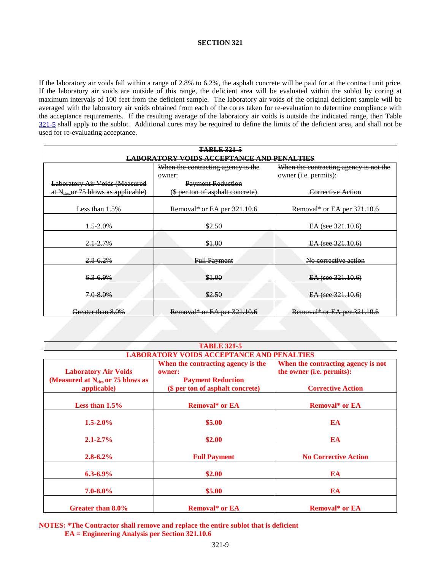If the laboratory air voids fall within a range of 2.8% to 6.2%, the asphalt concrete will be paid for at the contract unit price. If the laboratory air voids are outside of this range, the deficient area will be evaluated within the sublot by coring at maximum intervals of 100 feet from the deficient sample. The laboratory air voids of the original deficient sample will be averaged with the laboratory air voids obtained from each of the cores taken for re-evaluation to determine compliance with the acceptance requirements. If the resulting average of the laboratory air voids is outside the indicated range, then Table [321-5](#page-1-0) shall apply to the sublot. Additional cores may be required to define the limits of the deficient area, and shall not be used for re-evaluating acceptance.

<span id="page-1-0"></span>

| <b>TABLE 321-5</b>                               |                                    |                                        |
|--------------------------------------------------|------------------------------------|----------------------------------------|
| <b>LABORATORY VOIDS ACCEPTANCE AND PENALTIES</b> |                                    |                                        |
|                                                  | When the contracting agency is the | When the contracting agency is not the |
|                                                  | owner:                             | owner ( <i>i.e.</i> permits):          |
| <b>Laboratory Air Voids (Measured</b>            | <b>Payment Reduction</b>           |                                        |
| at N <sub>des</sub> or 75 blows as applicable)   | (\$ per ton of asphalt concrete)   | Corrective Action                      |
|                                                  |                                    |                                        |
| Less than 1.5%                                   | Removal* or EA per 321.10.6        | Removal* or EA per 321.10.6            |
|                                                  |                                    |                                        |
| $1.5 - 2.0%$                                     | \$2.50                             | EA (see 321.10.6)                      |
|                                                  |                                    |                                        |
| $2.1 - 2.7%$                                     | \$1.00                             | EA (see 321.10.6)                      |
|                                                  |                                    |                                        |
| 2.8 6.2%                                         | <b>Full Payment</b>                | No corrective action                   |
|                                                  |                                    |                                        |
| 6.3-6.9%                                         | \$1.00                             | $EA$ (see $321.10.6$ )                 |
|                                                  |                                    |                                        |
| 7.0-8.0%                                         | \$2.50                             | EA (see 321.10.6)                      |
|                                                  |                                    |                                        |
| Greater than 8.0%                                | Removal* or EA per 321.10.6        | Removal* or EA per 321.10.6            |

| <b>TABLE 321-5</b>                                                   |                                                                          |                                                                 |
|----------------------------------------------------------------------|--------------------------------------------------------------------------|-----------------------------------------------------------------|
| <b>LABORATORY VOIDS ACCEPTANCE AND PENALTIES</b>                     |                                                                          |                                                                 |
| <b>Laboratory Air Voids</b><br>(Measured at $N_{des}$ or 75 blows as | When the contracting agency is the<br>owner:<br><b>Payment Reduction</b> | When the contracting agency is not<br>the owner (i.e. permits): |
| applicable)                                                          | (\$ per ton of asphalt concrete)                                         | <b>Corrective Action</b>                                        |
| Less than $1.5\%$                                                    | <b>Removal* or EA</b>                                                    | <b>Removal* or EA</b>                                           |
| $1.5 - 2.0\%$                                                        | \$5.00                                                                   | EA                                                              |
| $2.1 - 2.7\%$                                                        | \$2.00                                                                   | EA                                                              |
| $2.8 - 6.2\%$                                                        | <b>Full Payment</b>                                                      | <b>No Corrective Action</b>                                     |
| $6.3 - 6.9\%$                                                        | \$2.00                                                                   | EA                                                              |
| $7.0 - 8.0\%$                                                        | \$5.00                                                                   | EA                                                              |
| Greater than 8.0%                                                    | <b>Removal* or EA</b>                                                    | <b>Removal* or EA</b>                                           |

**NOTES: \*The Contractor shall remove and replace the entire sublot that is deficient EA = Engineering Analysis per Section 321.10.6**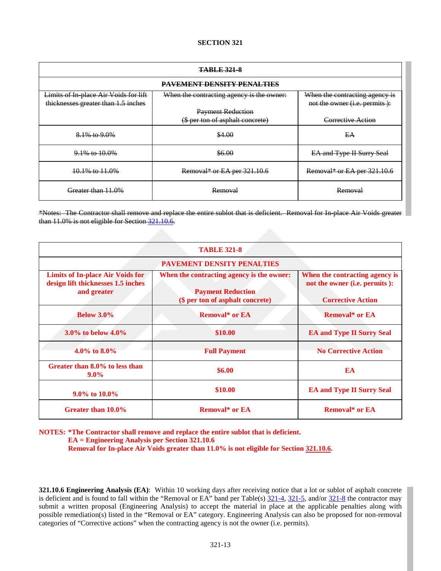<span id="page-2-1"></span><span id="page-2-0"></span>

| <b>TABLE 321-8</b>                    |                                           |                                |
|---------------------------------------|-------------------------------------------|--------------------------------|
| <b>PAVEMENT DENSITY PENALTIES</b>     |                                           |                                |
| Limits of In place Air Voids for lift | When the contracting agency is the owner: | When the contracting agency is |
| thicknesses greater than 1.5 inches   |                                           | not the owner (i.e. permits):  |
|                                       | <b>Payment Reduction</b>                  |                                |
|                                       | (\$ per ton of asphalt concrete)          | Corrective Action              |
| 8.1% to 9.0%                          | \$4.00                                    | EA                             |
| 9.1% to 10.0%                         | \$6.00                                    | EA and Type II Surry Seal      |
| 10.1% to 11.0%                        | Removal* or EA per 321.10.6               | Removal* or EA per 321.10.6    |
| Greater than 11.0%                    | <b>Removal</b>                            | <b>Removal</b>                 |

\*Notes: The Contractor shall remove and replace the entire sublot that is deficient. Removal for In-place Air Voids greater than 11.0% is not eligible for Sectio[n 321.10.6.](#page-2-0)

| <b>TABLE 321-8</b><br><b>PAVEMENT DENSITY PENALTIES</b> |                       |                                  |
|---------------------------------------------------------|-----------------------|----------------------------------|
|                                                         |                       |                                  |
| <b>Below 3.0%</b>                                       | <b>Removal* or EA</b> | <b>Removal* or EA</b>            |
| 3.0% to below $4.0\%$                                   | \$10.00               | <b>EA and Type II Surry Seal</b> |
| $4.0\%$ to $8.0\%$                                      | <b>Full Payment</b>   | <b>No Corrective Action</b>      |
| Greater than 8.0% to less than<br>$9.0\%$               | \$6.00                | EA                               |
| 9.0% to 10.0%                                           | \$10.00               | <b>EA and Type II Surry Seal</b> |
| Greater than 10.0%                                      | <b>Removal* or EA</b> | <b>Removal* or EA</b>            |

**NOTES: \*The Contractor shall remove and replace the entire sublot that is deficient.**

**EA = Engineering Analysis per Section 321.10.6**

Removal for In-place Air Voids greater than 11.0% is not eligible for Sectio[n 321.10.6.](#page-2-0)

**321.10.6 Engineering Analysis (EA)**: Within 10 working days after receiving notice that a lot or sublot of asphalt concrete is deficient and is found to fall within the "Removal or EA" band per Table(s)  $\frac{321-4}{321-5}$ , and/or  $\frac{321-8}{21-8}$  the contractor may submit a written proposal (Engineering Analysis) to accept the material in place at the applicable penalties along with possible remediation(s) listed in the "Removal or EA" category. Engineering Analysis can also be proposed for non-removal categories of "Corrective actions" when the contracting agency is not the owner (i.e. permits).